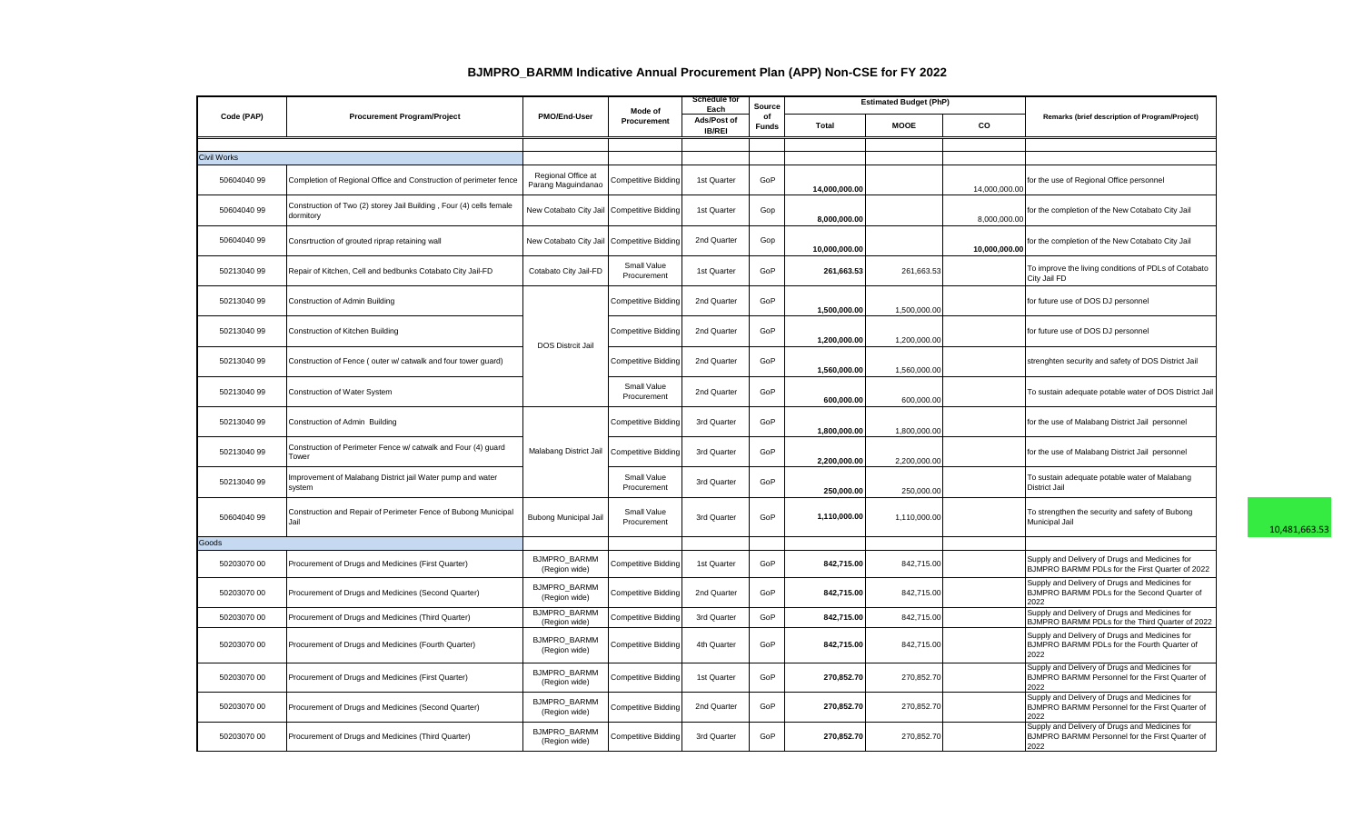|             | <b>Procurement Program/Project</b>                                               | PMO/End-User                             | Mode of<br>Procurement     | <b>Schedule for</b><br>Source<br>Each |                    |               | <b>Estimated Budget (PhP)</b> |               |                                                                                                           |
|-------------|----------------------------------------------------------------------------------|------------------------------------------|----------------------------|---------------------------------------|--------------------|---------------|-------------------------------|---------------|-----------------------------------------------------------------------------------------------------------|
| Code (PAP)  |                                                                                  |                                          |                            | Ads/Post of<br><b>IB/REI</b>          | of<br><b>Funds</b> | Total         | <b>MOOE</b>                   | <b>CO</b>     | Remarks (brief description of Program/Project)                                                            |
|             |                                                                                  |                                          |                            |                                       |                    |               |                               |               |                                                                                                           |
| Civil Works |                                                                                  |                                          |                            |                                       |                    |               |                               |               |                                                                                                           |
| 50604040 99 | Completion of Regional Office and Construction of perimeter fence                | Regional Office at<br>Parang Maguindanao | Competitive Bidding        | 1st Quarter                           | GoP                | 14,000,000.00 |                               | 14,000,000.00 | for the use of Regional Office personnel                                                                  |
| 50604040 99 | Construction of Two (2) storey Jail Building, Four (4) cells female<br>dormitory | New Cotabato City Jail                   | <b>Competitive Bidding</b> | 1st Quarter                           | Gop                | 8,000,000.00  |                               | 8,000,000.00  | for the completion of the New Cotabato City Jail                                                          |
| 5060404099  | Consrtruction of grouted riprap retaining wall                                   | New Cotabato City Jail                   | <b>Competitive Bidding</b> | 2nd Quarter                           | Gop                | 10,000,000.00 |                               | 10,000,000.00 | for the completion of the New Cotabato City Jail                                                          |
| 50213040 99 | Repair of Kitchen, Cell and bedbunks Cotabato City Jail-FD                       | Cotabato City Jail-FD                    | Small Value<br>Procurement | 1st Quarter                           | GoP                | 261,663.53    | 261,663.53                    |               | To improve the living conditions of PDLs of Cotabato<br>City Jail FD                                      |
| 50213040 99 | Construction of Admin Building                                                   |                                          | <b>Competitive Bidding</b> | 2nd Quarter                           | GoP                | 1,500,000.00  | 1,500,000.00                  |               | for future use of DOS DJ personnel                                                                        |
| 5021304099  | Construction of Kitchen Building                                                 | <b>DOS Distrcit Jail</b>                 | Competitive Bidding        | 2nd Quarter                           | GoP                | 1,200,000.00  | 1,200,000.00                  |               | for future use of DOS DJ personnel                                                                        |
| 5021304099  | Construction of Fence (outer w/ catwalk and four tower guard)                    |                                          | Competitive Bidding        | 2nd Quarter                           | GoP                | 1,560,000.00  | 1,560,000.00                  |               | strenghten security and safety of DOS District Jail                                                       |
| 5021304099  | Construction of Water System                                                     |                                          | Small Value<br>Procurement | 2nd Quarter                           | GoP                | 600.000.00    | 600,000.00                    |               | To sustain adequate potable water of DOS District Jail                                                    |
| 50213040 99 | Construction of Admin Building                                                   |                                          | <b>Competitive Bidding</b> | 3rd Quarter                           | GoP                | 1,800,000.00  | 1,800,000.00                  |               | for the use of Malabang District Jail personnel                                                           |
| 5021304099  | Construction of Perimeter Fence w/ catwalk and Four (4) guard<br>Tower           | Malabang District Jail                   | Competitive Bidding        | 3rd Quarter                           | GoP                | 2,200,000.00  | 2,200,000.00                  |               | for the use of Malabang District Jail personnel                                                           |
| 50213040 99 | Improvement of Malabang District jail Water pump and water<br>system             |                                          | Small Value<br>Procurement | 3rd Quarter                           | GoP                | 250,000.00    | 250,000.00                    |               | To sustain adequate potable water of Malabang<br><b>District Jail</b>                                     |
| 50604040 99 | Construction and Repair of Perimeter Fence of Bubong Municipal<br><b>Jail</b>    | Bubong Municipal Jail                    | Small Value<br>Procurement | 3rd Quarter                           | GoP                | 1,110,000.00  | 1,110,000.00                  |               | To strengthen the security and safety of Bubong<br>Municipal Jail                                         |
| Goods       |                                                                                  |                                          |                            |                                       |                    |               |                               |               |                                                                                                           |
| 50203070 00 | Procurement of Drugs and Medicines (First Quarter)                               | <b>BJMPRO BARMM</b><br>(Region wide)     | Competitive Bidding        | 1st Quarter                           | GoP                | 842,715.00    | 842,715.00                    |               | Supply and Delivery of Drugs and Medicines for<br>BJMPRO BARMM PDLs for the First Quarter of 2022         |
| 50203070 00 | Procurement of Drugs and Medicines (Second Quarter)                              | <b>BJMPRO BARMM</b><br>(Region wide)     | Competitive Bidding        | 2nd Quarter                           | GoP                | 842,715.00    | 842,715.00                    |               | Supply and Delivery of Drugs and Medicines for<br>BJMPRO BARMM PDLs for the Second Quarter of<br>2022     |
| 50203070 00 | Procurement of Drugs and Medicines (Third Quarter)                               | BJMPRO_BARMM<br>(Region wide)            | Competitive Bidding        | 3rd Quarter                           | GoP                | 842,715.00    | 842,715.00                    |               | Supply and Delivery of Drugs and Medicines for<br>BJMPRO BARMM PDLs for the Third Quarter of 2022         |
| 50203070 00 | Procurement of Drugs and Medicines (Fourth Quarter)                              | <b>BJMPRO BARMM</b><br>(Region wide)     | Competitive Bidding        | 4th Quarter                           | GoP                | 842,715.00    | 842,715.00                    |               | Supply and Delivery of Drugs and Medicines for<br>BJMPRO BARMM PDLs for the Fourth Quarter of<br>2022     |
| 50203070 00 | Procurement of Drugs and Medicines (First Quarter)                               | <b>BJMPRO BARMM</b><br>(Region wide)     | Competitive Bidding        | 1st Quarter                           | GoP                | 270,852.70    | 270,852.70                    |               | Supply and Delivery of Drugs and Medicines for<br>BJMPRO BARMM Personnel for the First Quarter of<br>2022 |
| 50203070 00 | Procurement of Drugs and Medicines (Second Quarter)                              | BJMPRO_BARMM<br>(Region wide)            | Competitive Bidding        | 2nd Quarter                           | GoP                | 270,852.70    | 270,852.70                    |               | Supply and Delivery of Drugs and Medicines for<br>BJMPRO BARMM Personnel for the First Quarter of<br>2022 |
| 50203070 00 | Procurement of Drugs and Medicines (Third Quarter)                               | <b>BJMPRO BARMM</b><br>(Region wide)     | Competitive Bidding        | 3rd Quarter                           | GoP                | 270,852.70    | 270,852.70                    |               | Supply and Delivery of Drugs and Medicines for<br>BJMPRO BARMM Personnel for the First Quarter of<br>2022 |

## **BJMPRO\_BARMM Indicative Annual Procurement Plan (APP) Non-CSE for FY 2022**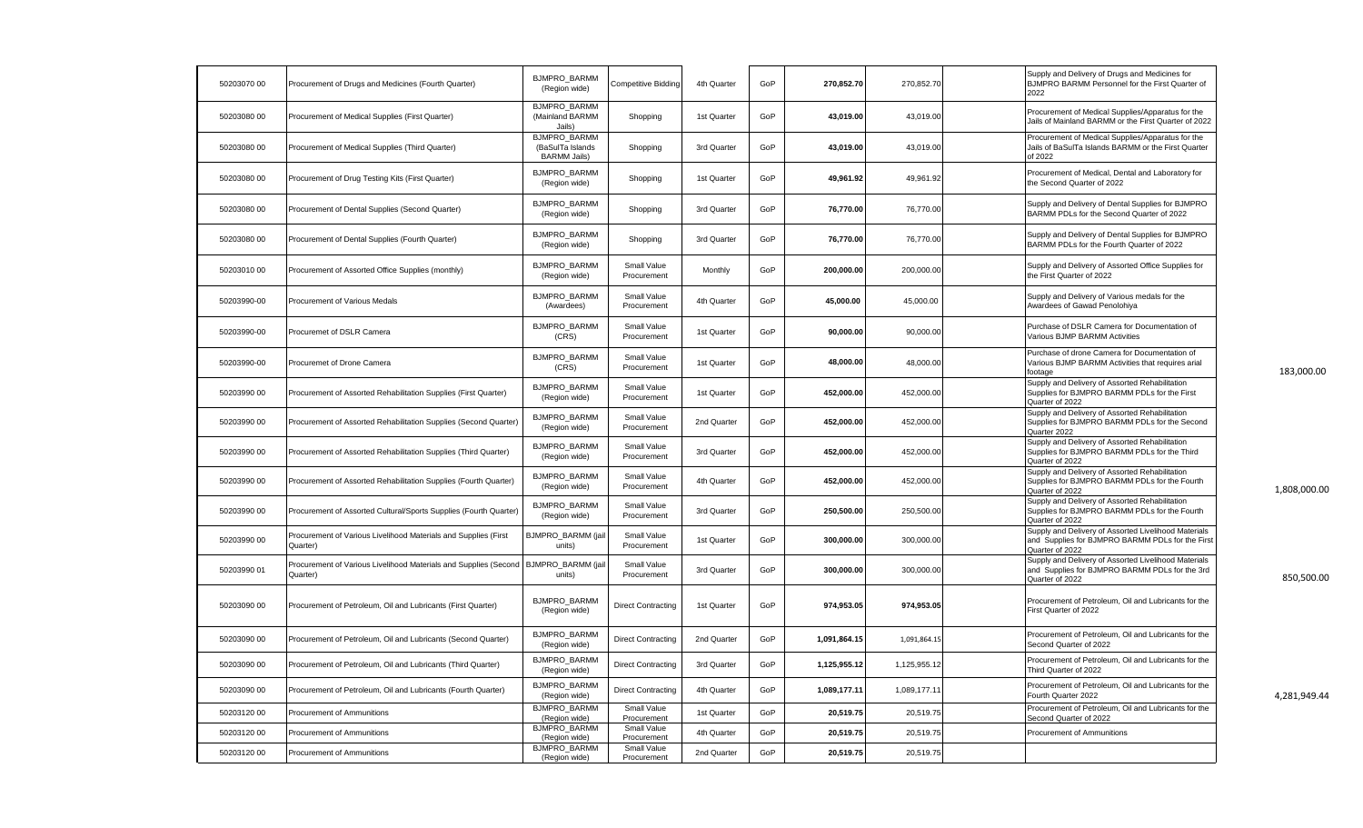| 50203070 00 | Procurement of Drugs and Medicines (Fourth Quarter)                          | <b>BJMPRO BARMM</b><br>(Region wide)                           | <b>Competitive Bidding</b> | 4th Quarter | GoP | 270,852.70   | 270,852.70   | Supply and Delivery of Drugs and Medicines for<br>BJMPRO BARMM Personnel for the First Quarter of<br>2022                   |
|-------------|------------------------------------------------------------------------------|----------------------------------------------------------------|----------------------------|-------------|-----|--------------|--------------|-----------------------------------------------------------------------------------------------------------------------------|
| 50203080 00 | Procurement of Medical Supplies (First Quarter)                              | <b>BJMPRO BARMM</b><br>(Mainland BARMM<br>Jails)               | Shopping                   | 1st Quarter | GoP | 43,019.00    | 43,019.00    | Procurement of Medical Supplies/Apparatus for the<br>Jails of Mainland BARMM or the First Quarter of 2022                   |
| 50203080 00 | Procurement of Medical Supplies (Third Quarter)                              | <b>BJMPRO BARMM</b><br>(BaSulTa Islands<br><b>BARMM Jails)</b> | Shopping                   | 3rd Quarter | GoP | 43,019.00    | 43,019.00    | Procurement of Medical Supplies/Apparatus for the<br>Jails of BaSulTa Islands BARMM or the First Quarter<br>of 2022         |
| 50203080 00 | Procurement of Drug Testing Kits (First Quarter)                             | <b>BJMPRO BARMM</b><br>(Region wide)                           | Shopping                   | 1st Quarter | GoP | 49,961.92    | 49,961.92    | Procurement of Medical, Dental and Laboratory for<br>the Second Quarter of 2022                                             |
| 50203080 00 | Procurement of Dental Supplies (Second Quarter)                              | <b>BJMPRO BARMM</b><br>(Region wide)                           | Shopping                   | 3rd Quarter | GoP | 76,770.00    | 76,770.00    | Supply and Delivery of Dental Supplies for BJMPRO<br>BARMM PDLs for the Second Quarter of 2022                              |
| 50203080 00 | Procurement of Dental Supplies (Fourth Quarter)                              | <b>BJMPRO BARMM</b><br>(Region wide)                           | Shopping                   | 3rd Quarter | GoP | 76,770.00    | 76,770.00    | Supply and Delivery of Dental Supplies for BJMPRO<br>BARMM PDLs for the Fourth Quarter of 2022                              |
| 5020301000  | Procurement of Assorted Office Supplies (monthly)                            | <b>BJMPRO BARMM</b><br>(Region wide)                           | Small Value<br>Procurement | Monthly     | GoP | 200,000.00   | 200,000.00   | Supply and Delivery of Assorted Office Supplies for<br>the First Quarter of 2022                                            |
| 50203990-00 | Procurement of Various Medals                                                | <b>BJMPRO BARMM</b><br>(Awardees)                              | Small Value<br>Procurement | 4th Quarter | GoP | 45,000.00    | 45,000.00    | Supply and Delivery of Various medals for the<br>Awardees of Gawad Penolohiya                                               |
| 50203990-00 | Procuremet of DSLR Camera                                                    | <b>BJMPRO BARMM</b><br>(CRS)                                   | Small Value<br>Procurement | 1st Quarter | GoP | 90,000.00    | 90,000.00    | Purchase of DSLR Camera for Documentation of<br>Various BJMP BARMM Activities                                               |
| 50203990-00 | Procuremet of Drone Camera                                                   | <b>BJMPRO BARMM</b><br>(CRS)                                   | Small Value<br>Procurement | 1st Quarter | GoP | 48,000.00    | 48,000.00    | Purchase of drone Camera for Documentation of<br>Various BJMP BARMM Activities that requires arial<br>footage               |
| 50203990 00 | Procurement of Assorted Rehabilitation Supplies (First Quarter)              | <b>BJMPRO BARMM</b><br>(Region wide)                           | Small Value<br>Procurement | 1st Quarter | GoP | 452,000.00   | 452,000.00   | Supply and Delivery of Assorted Rehabilitation<br>Supplies for BJMPRO BARMM PDLs for the First<br>Quarter of 2022           |
| 50203990 00 | Procurement of Assorted Rehabilitation Supplies (Second Quarter)             | <b>BJMPRO BARMM</b><br>(Region wide)                           | Small Value<br>Procurement | 2nd Quarter | GoP | 452,000.00   | 452,000.00   | Supply and Delivery of Assorted Rehabilitation<br>Supplies for BJMPRO BARMM PDLs for the Second<br>Quarter 2022             |
| 50203990 00 | Procurement of Assorted Rehabilitation Supplies (Third Quarter)              | <b>BJMPRO BARMM</b><br>(Region wide)                           | Small Value<br>Procurement | 3rd Quarter | GoP | 452.000.00   | 452,000.00   | Supply and Delivery of Assorted Rehabilitation<br>Supplies for BJMPRO BARMM PDLs for the Third<br>Quarter of 2022           |
| 50203990 00 | Procurement of Assorted Rehabilitation Supplies (Fourth Quarter)             | BJMPRO_BARMM<br>(Region wide)                                  | Small Value<br>Procurement | 4th Quarter | GoP | 452,000.00   | 452,000.00   | Supply and Delivery of Assorted Rehabilitation<br>Supplies for BJMPRO BARMM PDLs for the Fourth<br>Quarter of 2022          |
| 50203990 00 | Procurement of Assorted Cultural/Sports Supplies (Fourth Quarter)            | <b>BJMPRO BARMM</b><br>(Region wide)                           | Small Value<br>Procurement | 3rd Quarter | GoP | 250,500.00   | 250,500.00   | Supply and Delivery of Assorted Rehabilitation<br>Supplies for BJMPRO BARMM PDLs for the Fourth<br>Quarter of 2022          |
| 50203990 00 | Procurement of Various Livelihood Materials and Supplies (First<br>Quarter)  | <b>BJMPRO BARMM (jail</b><br>units)                            | Small Value<br>Procurement | 1st Quarter | GoP | 300,000.00   | 300,000.00   | Supply and Delivery of Assorted Livelihood Materials<br>and Supplies for BJMPRO BARMM PDLs for the First<br>Quarter of 2022 |
| 50203990 01 | Procurement of Various Livelihood Materials and Supplies (Second<br>Quarter) | <b>BJMPRO BARMM (jail</b><br>units)                            | Small Value<br>Procurement | 3rd Quarter | GoP | 300,000.00   | 300,000.00   | Supply and Delivery of Assorted Livelihood Materials<br>and Supplies for BJMPRO BARMM PDLs for the 3rd<br>Quarter of 2022   |
| 50203090 00 | Procurement of Petroleum, Oil and Lubricants (First Quarter)                 | BJMPRO_BARMM<br>(Region wide)                                  | <b>Direct Contracting</b>  | 1st Quarter | GoP | 974,953.05   | 974,953.05   | Procurement of Petroleum. Oil and Lubricants for the<br>First Quarter of 2022                                               |
| 50203090 00 | Procurement of Petroleum, Oil and Lubricants (Second Quarter)                | <b>BJMPRO BARMM</b><br>(Region wide)                           | <b>Direct Contracting</b>  | 2nd Quarter | GoP | 1,091,864.15 | 1,091,864.15 | Procurement of Petroleum, Oil and Lubricants for the<br>Second Quarter of 2022                                              |
| 50203090 00 | Procurement of Petroleum, Oil and Lubricants (Third Quarter)                 | BJMPRO_BARMM<br>(Region wide)                                  | <b>Direct Contracting</b>  | 3rd Quarter | GoP | 1,125,955.12 | 1,125,955.12 | Procurement of Petroleum, Oil and Lubricants for the<br>Third Quarter of 2022                                               |
| 50203090 00 | Procurement of Petroleum, Oil and Lubricants (Fourth Quarter)                | <b>BJMPRO BARMM</b><br>(Region wide)                           | <b>Direct Contracting</b>  | 4th Quarter | GoP | 1,089,177.11 | 1,089,177.11 | Procurement of Petroleum, Oil and Lubricants for the<br>Fourth Quarter 2022                                                 |
| 50203120 00 | Procurement of Ammunitions                                                   | <b>BJMPRO BARMM</b><br>(Region wide)                           | Small Value<br>Procurement | 1st Quarter | GoP | 20.519.75    | 20,519.75    | Procurement of Petroleum. Oil and Lubricants for the<br>Second Quarter of 2022                                              |
| 50203120 00 | Procurement of Ammunitions                                                   | <b>BJMPRO BARMM</b><br>(Region wide)                           | Small Value<br>Procurement | 4th Quarter | GoP | 20,519.75    | 20,519.75    | Procurement of Ammunitions                                                                                                  |
| 50203120 00 | Procurement of Ammunitions                                                   | <b>BJMPRO BARMM</b><br>(Region wide)                           | Small Value<br>Procurement | 2nd Quarter | GoP | 20,519.75    | 20,519.75    |                                                                                                                             |

Quarter of 2022 1,808,000.00

850,500.00

A,281,949.44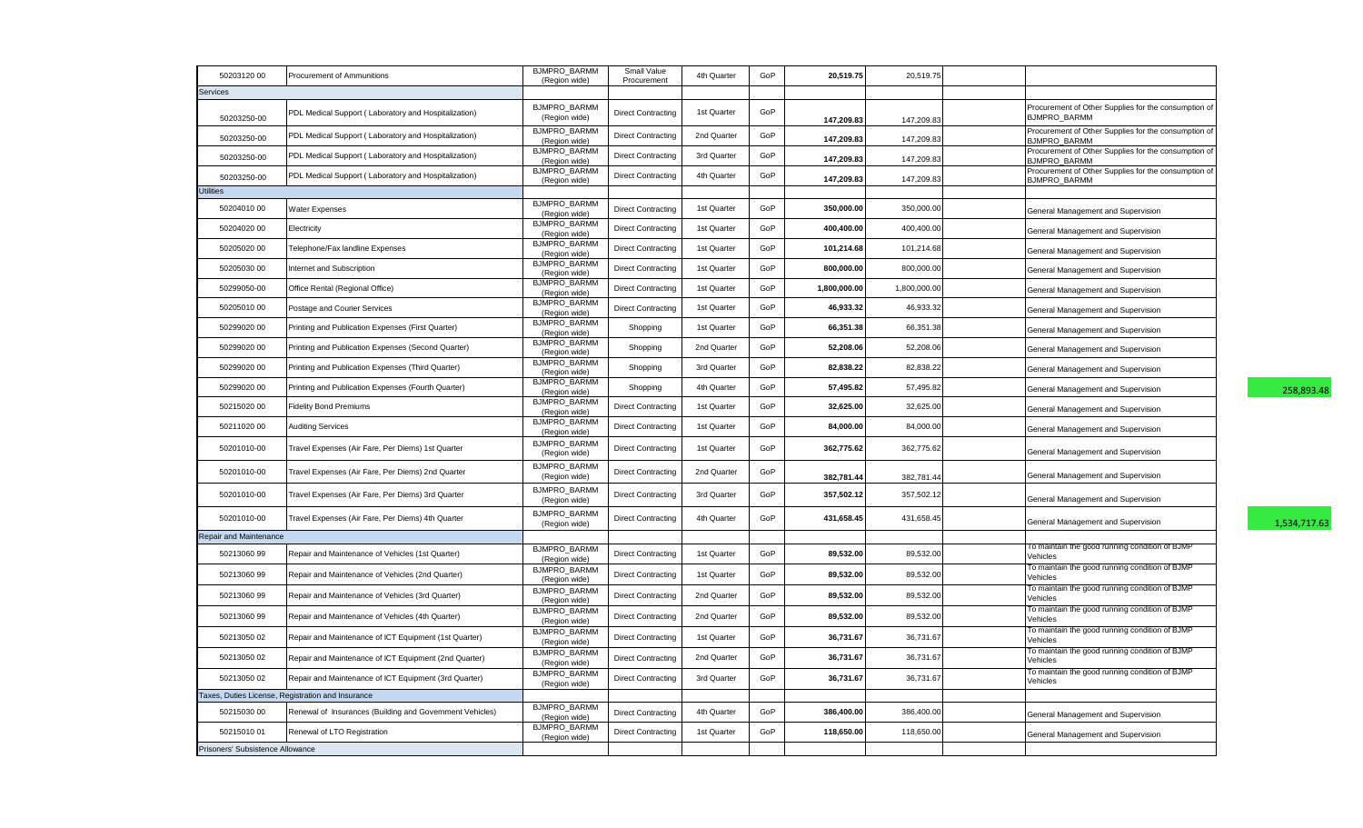| 50203120 00                      | Procurement of Ammunitions                               | <b>BJMPRO BARMM</b><br>(Region wide) | Small Value<br>Procurement | 4th Quarter | GoP | 20,519.75    | 20,519.75    |                                                                             |              |
|----------------------------------|----------------------------------------------------------|--------------------------------------|----------------------------|-------------|-----|--------------|--------------|-----------------------------------------------------------------------------|--------------|
| <b>Services</b>                  |                                                          |                                      |                            |             |     |              |              |                                                                             |              |
| 50203250-00                      | PDL Medical Support (Laboratory and Hospitalization)     | <b>BJMPRO BARMM</b><br>(Region wide) | <b>Direct Contracting</b>  | 1st Quarter | GoP | 147,209.83   | 147,209.83   | Procurement of Other Supplies for the consumption of<br><b>BJMPRO BARMM</b> |              |
| 50203250-00                      | PDL Medical Support (Laboratory and Hospitalization)     | <b>BJMPRO BARMM</b><br>(Region wide) | <b>Direct Contracting</b>  | 2nd Quarter | GoP | 147,209.83   | 147,209.83   | Procurement of Other Supplies for the consumption of<br><b>BJMPRO BARMM</b> |              |
| 50203250-00                      | PDL Medical Support (Laboratory and Hospitalization)     | BJMPRO_BARMM<br>(Region wide)        | <b>Direct Contracting</b>  | 3rd Quarter | GoP | 147,209.83   | 147,209.83   | Procurement of Other Supplies for the consumption of<br>BJMPRO BARMM        |              |
| 50203250-00                      | PDL Medical Support (Laboratory and Hospitalization)     | <b>BJMPRO BARMM</b><br>(Region wide) | <b>Direct Contracting</b>  | 4th Quarter | GoP | 147,209.83   | 147,209.83   | Procurement of Other Supplies for the consumption of<br><b>BJMPRO BARMM</b> |              |
| <b>Utilities</b>                 |                                                          |                                      |                            |             |     |              |              |                                                                             |              |
| 5020401000                       | <b>Nater Expenses</b>                                    | BJMPRO_BARMM<br>(Region wide)        | <b>Direct Contracting</b>  | 1st Quarter | GoP | 350,000.00   | 350,000.00   | General Management and Supervision                                          |              |
| 50204020 00                      | Electricity                                              | <b>BJMPRO BARMM</b><br>(Region wide) | <b>Direct Contracting</b>  | 1st Quarter | GoP | 400,400.00   | 400,400.00   | General Management and Supervision                                          |              |
| 50205020 00                      | Felephone/Fax landline Expenses                          | <b>BJMPRO BARMM</b><br>(Region wide) | <b>Direct Contracting</b>  | 1st Quarter | GoP | 101,214.68   | 101,214.68   | General Management and Supervision                                          |              |
| 50205030 00                      | Internet and Subscription                                | <b>BJMPRO BARMM</b><br>(Region wide) | <b>Direct Contracting</b>  | 1st Quarter | GoP | 800,000.00   | 800,000.00   | General Management and Supervision                                          |              |
| 50299050-00                      | Office Rental (Regional Office)                          | <b>BJMPRO BARMM</b><br>(Region wide) | <b>Direct Contracting</b>  | 1st Quarter | GoP | 1,800,000.00 | 1,800,000.00 | General Management and Supervision                                          |              |
| 5020501000                       | Postage and Courier Services                             | <b>BJMPRO BARMM</b><br>(Region wide) | <b>Direct Contracting</b>  | 1st Quarter | GoP | 46,933.32    | 46,933.32    | General Management and Supervision                                          |              |
| 50299020 00                      | Printing and Publication Expenses (First Quarter)        | <b>BJMPRO BARMM</b><br>(Region wide) | Shopping                   | 1st Quarter | GoP | 66,351.38    | 66,351.38    | General Management and Supervision                                          |              |
| 50299020 00                      | Printing and Publication Expenses (Second Quarter)       | BJMPRO_BARMM<br>(Region wide)        | Shopping                   | 2nd Quarter | GoP | 52,208.06    | 52,208.06    | General Management and Supervision                                          |              |
| 50299020 00                      | Printing and Publication Expenses (Third Quarter)        | <b>BJMPRO BARMM</b><br>(Region wide) | Shopping                   | 3rd Quarter | GoP | 82,838.22    | 82,838.22    | General Management and Supervision                                          |              |
| 50299020 00                      | Printing and Publication Expenses (Fourth Quarter)       | <b>BJMPRO BARMM</b><br>(Region wide) | Shopping                   | 4th Quarter | GoP | 57,495.82    | 57,495.82    | General Management and Supervision                                          | 258,893.48   |
| 50215020 00                      | <b>Fidelity Bond Premiums</b>                            | <b>BJMPRO BARMM</b><br>(Region wide) | <b>Direct Contracting</b>  | 1st Quarter | GoP | 32,625.00    | 32,625.00    | General Management and Supervision                                          |              |
| 50211020 00                      | <b>Auditing Services</b>                                 | <b>BJMPRO BARMM</b><br>(Region wide) | <b>Direct Contracting</b>  | 1st Quarter | GoP | 84,000.00    | 84,000.00    | General Management and Supervision                                          |              |
| 50201010-00                      | Travel Expenses (Air Fare, Per Diems) 1st Quarter        | <b>BJMPRO BARMM</b><br>(Region wide) | <b>Direct Contracting</b>  | 1st Quarter | GoP | 362,775.62   | 362,775.62   | General Management and Supervision                                          |              |
| 50201010-00                      | Travel Expenses (Air Fare, Per Diems) 2nd Quarter        | BJMPRO_BARMM<br>(Region wide)        | <b>Direct Contracting</b>  | 2nd Quarter | GoP | 382,781.44   | 382,781.44   | General Management and Supervision                                          |              |
| 50201010-00                      | Travel Expenses (Air Fare, Per Diems) 3rd Quarter        | <b>BJMPRO BARMM</b><br>(Region wide) | <b>Direct Contracting</b>  | 3rd Quarter | GoP | 357,502.12   | 357,502.12   | General Management and Supervision                                          |              |
| 50201010-00                      | Travel Expenses (Air Fare, Per Diems) 4th Quarter        | <b>BJMPRO BARMM</b><br>(Region wide) | <b>Direct Contracting</b>  | 4th Quarter | GoP | 431,658.45   | 431,658.45   | General Management and Supervision                                          | 1,534,717.63 |
| Repair and Maintenance           |                                                          |                                      |                            |             |     |              |              |                                                                             |              |
| 5021306099                       | Repair and Maintenance of Vehicles (1st Quarter)         | <b>BJMPRO BARMM</b><br>(Region wide) | <b>Direct Contracting</b>  | 1st Quarter | GoP | 89,532.00    | 89,532.00    | To maintain the good running condition of BJMP<br>Vehicles                  |              |
| 5021306099                       | Repair and Maintenance of Vehicles (2nd Quarter)         | <b>BJMPRO BARMM</b><br>(Region wide) | <b>Direct Contracting</b>  | 1st Quarter | GoP | 89,532.00    | 89,532.00    | To maintain the good running condition of BJMP<br>Vehicles                  |              |
| 5021306099                       | Repair and Maintenance of Vehicles (3rd Quarter)         | <b>BJMPRO BARMM</b><br>(Region wide) | <b>Direct Contracting</b>  | 2nd Quarter | GoP | 89,532.00    | 89,532.00    | To maintain the good running condition of BJMP<br>Vehicles                  |              |
| 5021306099                       | Repair and Maintenance of Vehicles (4th Quarter)         | <b>BJMPRO BARMM</b><br>(Region wide) | <b>Direct Contracting</b>  | 2nd Quarter | GoP | 89,532.00    | 89,532.00    | To maintain the good running condition of BJMP<br>Vehicles                  |              |
| 50213050 02                      | Repair and Maintenance of ICT Equipment (1st Quarter)    | <b>BJMPRO BARMM</b><br>(Region wide) | <b>Direct Contracting</b>  | 1st Quarter | GoP | 36,731.67    | 36,731.67    | To maintain the good running condition of BJMP<br>Vehicles                  |              |
| 50213050 02                      | Repair and Maintenance of ICT Equipment (2nd Quarter)    | <b>BJMPRO BARMM</b><br>(Region wide) | <b>Direct Contracting</b>  | 2nd Quarter | GoP | 36,731.67    | 36,731.67    | To maintain the good running condition of BJMP<br>Vehicles                  |              |
| 50213050 02                      | Repair and Maintenance of ICT Equipment (3rd Quarter)    | <b>BJMPRO BARMM</b><br>(Region wide) | <b>Direct Contracting</b>  | 3rd Quarter | GoP | 36,731.67    | 36,731.67    | To maintain the good running condition of BJMP<br>Vehicles                  |              |
|                                  | Taxes, Duties License, Registration and Insurance        |                                      |                            |             |     |              |              |                                                                             |              |
| 50215030 00                      | Renewal of Insurances (Building and Government Vehicles) | <b>BJMPRO BARMM</b><br>(Region wide) | <b>Direct Contracting</b>  | 4th Quarter | GoP | 386,400.00   | 386,400.00   | General Management and Supervision                                          |              |
| 5021501001                       | Renewal of LTO Registration                              | <b>BJMPRO BARMM</b><br>(Region wide) | <b>Direct Contracting</b>  | 1st Quarter | GoP | 118,650.00   | 118,650.00   | General Management and Supervision                                          |              |
| Prisoners' Subsistence Allowance |                                                          |                                      |                            |             |     |              |              |                                                                             |              |